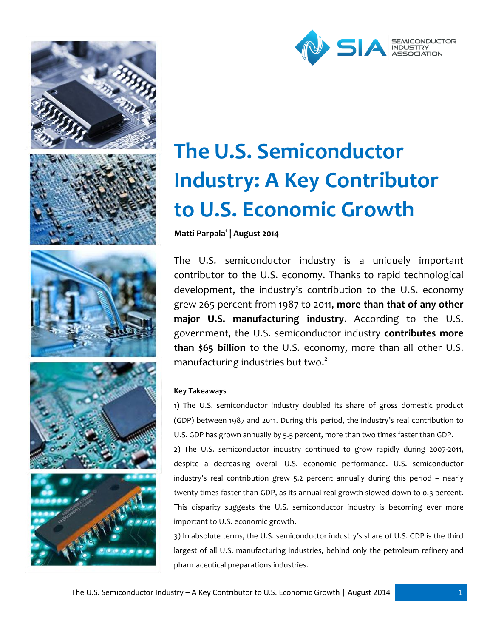



# **The U.S. Semiconductor Industry: A Key Contributor to U.S. Economic Growth**

**Matti Parpala**<sup>1</sup> **| August 2014**

The U.S. semiconductor industry is a uniquely important contributor to the U.S. economy. Thanks to rapid technological development, the industry's contribution to the U.S. economy grew 265 percent from 1987 to 2011, **more than that of any other major U.S. manufacturing industry**. According to the U.S. government, the U.S. semiconductor industry **contributes more than \$65 billion** to the U.S. economy, more than all other U.S. manufacturing industries but two.<sup>2</sup>

# **Key Takeaways**

1) The U.S. semiconductor industry doubled its share of gross domestic product (GDP) between 1987 and 2011. During this period, the industry's real contribution to U.S. GDP has grown annually by 5.5 percent, more than two times faster than GDP.

2) The U.S. semiconductor industry continued to grow rapidly during 2007-2011, despite a decreasing overall U.S. economic performance. U.S. semiconductor industry's real contribution grew 5.2 percent annually during this period – nearly twenty times faster than GDP, as its annual real growth slowed down to 0.3 percent. This disparity suggests the U.S. semiconductor industry is becoming ever more important to U.S. economic growth.

3) In absolute terms, the U.S. semiconductor industry's share of U.S. GDP is the third largest of all U.S. manufacturing industries, behind only the petroleum refinery and pharmaceutical preparations industries.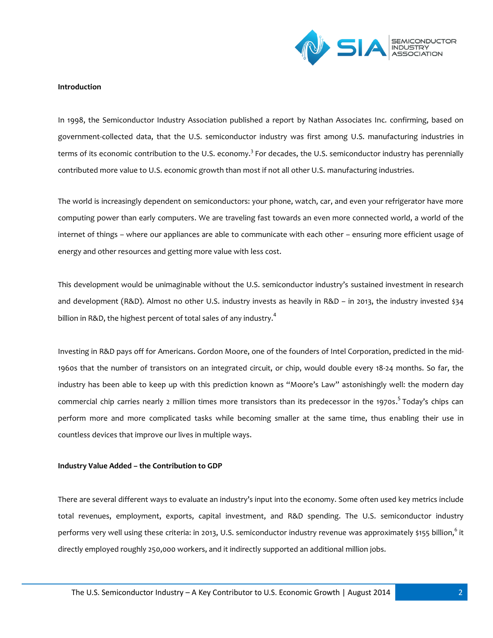

#### **Introduction**

In 1998, the Semiconductor Industry Association published a report by Nathan Associates Inc. confirming, based on government-collected data, that the U.S. semiconductor industry was first among U.S. manufacturing industries in terms of its economic contribution to the U.S. economy.<sup>3</sup> For decades, the U.S. semiconductor industry has perennially contributed more value to U.S. economic growth than most if not all other U.S. manufacturing industries.

The world is increasingly dependent on semiconductors: your phone, watch, car, and even your refrigerator have more computing power than early computers. We are traveling fast towards an even more connected world, a world of the internet of things – where our appliances are able to communicate with each other – ensuring more efficient usage of energy and other resources and getting more value with less cost.

This development would be unimaginable without the U.S. semiconductor industry's sustained investment in research and development (R&D). Almost no other U.S. industry invests as heavily in R&D – in 2013, the industry invested \$34 billion in R&D, the highest percent of total sales of any industry.<sup>4</sup>

Investing in R&D pays off for Americans. Gordon Moore, one of the founders of Intel Corporation, predicted in the mid-1960s that the number of transistors on an integrated circuit, or chip, would double every 18-24 months. So far, the industry has been able to keep up with this prediction known as "Moore's Law" astonishingly well: the modern day commercial chip carries nearly 2 million times more transistors than its predecessor in the 1970s.<sup>5</sup> Today's chips can perform more and more complicated tasks while becoming smaller at the same time, thus enabling their use in countless devices that improve our lives in multiple ways.

## **Industry Value Added – the Contribution to GDP**

There are several different ways to evaluate an industry's input into the economy. Some often used key metrics include total revenues, employment, exports, capital investment, and R&D spending. The U.S. semiconductor industry performs very well using these criteria: in 2013, U.S. semiconductor industry revenue was approximately \$155 billion,<sup>6</sup> it directly employed roughly 250,000 workers, and it indirectly supported an additional million jobs.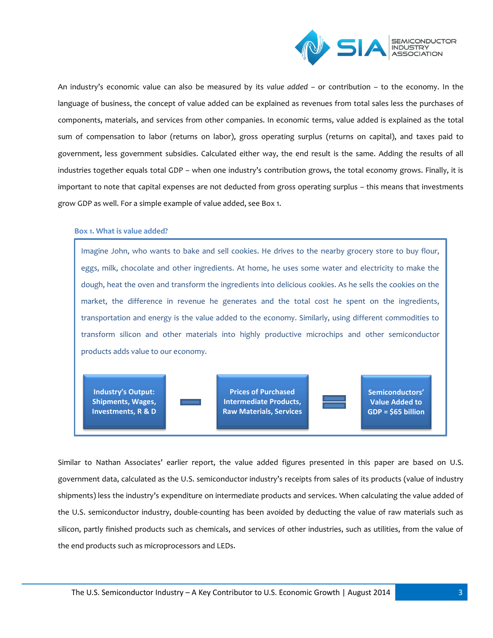

An industry's economic value can also be measured by its *value added –* or contribution – to the economy. In the language of business, the concept of value added can be explained as revenues from total sales less the purchases of components, materials, and services from other companies. In economic terms, value added is explained as the total sum of compensation to labor (returns on labor), gross operating surplus (returns on capital), and taxes paid to government, less government subsidies. Calculated either way, the end result is the same. Adding the results of all industries together equals total GDP – when one industry's contribution grows, the total economy grows. Finally, it is important to note that capital expenses are not deducted from gross operating surplus – this means that investments grow GDP as well. For a simple example of value added, see Box 1.

## **Box 1. What is value added?**

Imagine John, who wants to bake and sell cookies. He drives to the nearby grocery store to buy flour, eggs, milk, chocolate and other ingredients. At home, he uses some water and electricity to make the dough, heat the oven and transform the ingredients into delicious cookies. As he sells the cookies on the market, the difference in revenue he generates and the total cost he spent on the ingredients, transportation and energy is the value added to the economy. Similarly, using different commodities to transform silicon and other materials into highly productive microchips and other semiconductor products adds value to our economy.

**Industry's Output: Shipments, Wages, Investments, R & D**

**Prices of Purchased Intermediate Products, Raw Materials, Services**

**Semiconductors' Value Added to GDP = \$65 billion**

Similar to Nathan Associates' earlier report, the value added figures presented in this paper are based on U.S. government data, calculated as the U.S. semiconductor industry's receipts from sales of its products (value of industry shipments) less the industry's expenditure on intermediate products and services. When calculating the value added of the U.S. semiconductor industry, double-counting has been avoided by deducting the value of raw materials such as silicon, partly finished products such as chemicals, and services of other industries, such as utilities, from the value of the end products such as microprocessors and LEDs.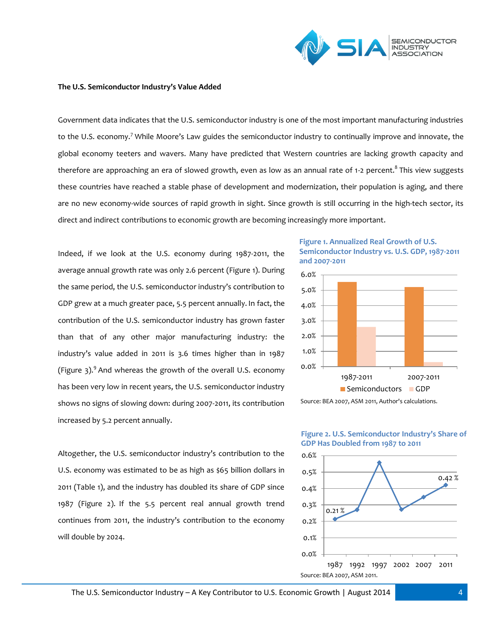

#### **The U.S. Semiconductor Industry's Value Added**

Government data indicates that the U.S. semiconductor industry is one of the most important manufacturing industries to the U.S. economy.<sup>7</sup> While Moore's Law guides the semiconductor industry to continually improve and innovate, the global economy teeters and wavers. Many have predicted that Western countries are lacking growth capacity and therefore are approaching an era of slowed growth, even as low as an annual rate of 1-2 percent.<sup>8</sup> This view suggests these countries have reached a stable phase of development and modernization, their population is aging, and there are no new economy-wide sources of rapid growth in sight. Since growth is still occurring in the high-tech sector, its direct and indirect contributions to economic growth are becoming increasingly more important.

Indeed, if we look at the U.S. economy during 1987-2011, the average annual growth rate was only 2.6 percent (Figure 1). During the same period, the U.S. semiconductor industry's contribution to GDP grew at a much greater pace, 5.5 percent annually. In fact, the contribution of the U.S. semiconductor industry has grown faster than that of any other major manufacturing industry: the industry's value added in 2011 is 3.6 times higher than in 1987 (Figure  $3$ ).<sup>9</sup> And whereas the growth of the overall U.S. economy has been very low in recent years, the U.S. semiconductor industry shows no signs of slowing down: during 2007-2011, its contribution increased by 5.2 percent annually.

Altogether, the U.S. semiconductor industry's contribution to the U.S. economy was estimated to be as high as \$65 billion dollars in 2011 (Table 1), and the industry has doubled its share of GDP since 1987 (Figure 2). If the 5.5 percent real annual growth trend continues from 2011, the industry's contribution to the economy will double by 2024.









# The U.S. Semiconductor Industry – A Key Contributor to U.S. Economic Growth | August 2014 **4**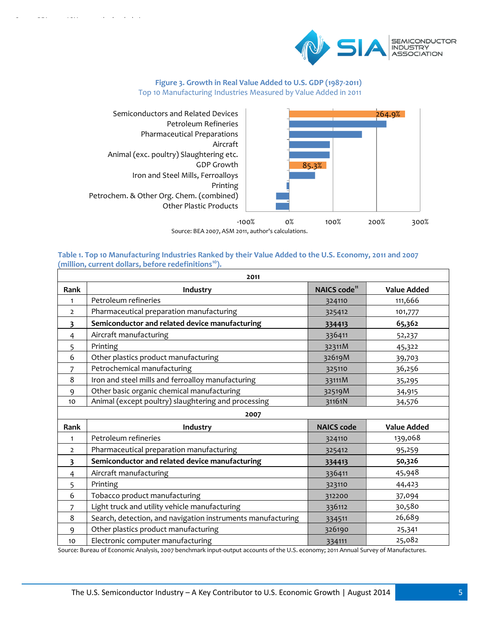

# **Figure 3. Growth in Real Value Added to U.S. GDP (1987-2011)** Top 10 Manufacturing Industries Measured by Value Added in 2011



Source: BEA 2007, ASM 2011, author's calculations.

## **Table 1. Top 10 Manufacturing Industries Ranked by their Value Added to the U.S. Economy, 2011 and 2007 (million, current dollars, before redefinitions<sup>10</sup>).**

| 2011                    |                                                             |                          |                    |
|-------------------------|-------------------------------------------------------------|--------------------------|--------------------|
| Rank                    | Industry                                                    | NAICS code <sup>11</sup> | <b>Value Added</b> |
| $\mathbf{1}$            | Petroleum refineries                                        | 324110                   | 111,666            |
| $\overline{2}$          | Pharmaceutical preparation manufacturing                    | 325412                   | 101,777            |
| $\overline{\mathbf{3}}$ | Semiconductor and related device manufacturing              | 334413                   | 65,362             |
| 4                       | Aircraft manufacturing                                      | 336411                   | 52,237             |
| 5                       | Printing                                                    | 32311M                   | 45,322             |
| 6                       | Other plastics product manufacturing                        | 32619M                   | 39,703             |
| 7                       | Petrochemical manufacturing                                 | 325110                   | 36,256             |
| 8                       | Iron and steel mills and ferroalloy manufacturing           | 33111M                   | 35,295             |
| 9                       | Other basic organic chemical manufacturing                  | 32519M                   | 34,915             |
| 10                      | Animal (except poultry) slaughtering and processing         | 31161N                   | 34,576             |
| 2007                    |                                                             |                          |                    |
| Rank                    | Industry                                                    | <b>NAICS code</b>        | <b>Value Added</b> |
| $\mathbf{1}$            | Petroleum refineries                                        | 324110                   | 139,068            |
| $\overline{2}$          | Pharmaceutical preparation manufacturing                    | 325412                   | 95,259             |
| $\overline{\mathbf{3}}$ | Semiconductor and related device manufacturing              | 334413                   | 50,326             |
| $\overline{4}$          | Aircraft manufacturing                                      | 336411                   | 45,948             |
| 5                       | Printing                                                    | 323110                   | 44,423             |
| 6                       | Tobacco product manufacturing                               | 312200                   | 37,094             |
| 7                       | Light truck and utility vehicle manufacturing               | 336112                   | 30,580             |
| 8                       | Search, detection, and navigation instruments manufacturing | 334511                   | 26,689             |
| 9                       | Other plastics product manufacturing                        | 326190                   | 25,341             |
| 10                      | Electronic computer manufacturing                           | 334111                   | 25,082             |

Source: Bureau of Economic Analysis, 2007 benchmark input-output accounts of the U.S. economy; 2011 Annual Survey of Manufactures.